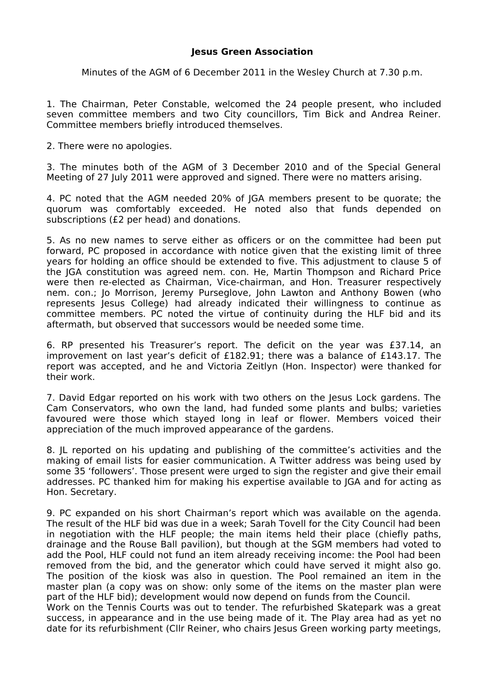## **Jesus Green Association**

Minutes of the AGM of 6 December 2011 in the Wesley Church at 7.30 p.m.

1. The Chairman, Peter Constable, welcomed the 24 people present, who included seven committee members and two City councillors, Tim Bick and Andrea Reiner. Committee members briefly introduced themselves.

2. There were no apologies.

3. The minutes both of the AGM of 3 December 2010 and of the Special General Meeting of 27 July 2011 were approved and signed. There were no matters arising.

4. PC noted that the AGM needed 20% of JGA members present to be quorate; the quorum was comfortably exceeded. He noted also that funds depended on subscriptions (£2 per head) and donations.

5. As no new names to serve either as officers or on the committee had been put forward, PC proposed in accordance with notice given that the existing limit of three years for holding an office should be extended to five. This adjustment to clause 5 of the JGA constitution was agreed nem. con. He, Martin Thompson and Richard Price were then re-elected as Chairman, Vice-chairman, and Hon. Treasurer respectively nem. con.; Jo Morrison, Jeremy Purseglove, John Lawton and Anthony Bowen (who represents Jesus College) had already indicated their willingness to continue as committee members. PC noted the virtue of continuity during the HLF bid and its aftermath, but observed that successors would be needed some time.

6. RP presented his Treasurer's report. The deficit on the year was £37.14, an improvement on last year's deficit of £182.91; there was a balance of £143.17. The report was accepted, and he and Victoria Zeitlyn (Hon. Inspector) were thanked for their work.

7. David Edgar reported on his work with two others on the Jesus Lock gardens. The Cam Conservators, who own the land, had funded some plants and bulbs; varieties favoured were those which stayed long in leaf or flower. Members voiced their appreciation of the much improved appearance of the gardens.

8. JL reported on his updating and publishing of the committee's activities and the making of email lists for easier communication. A Twitter address was being used by some 35 'followers'. Those present were urged to sign the register and give their email addresses. PC thanked him for making his expertise available to JGA and for acting as Hon. Secretary.

9. PC expanded on his short Chairman's report which was available on the agenda. The result of the HLF bid was due in a week; Sarah Tovell for the City Council had been in negotiation with the HLF people; the main items held their place (chiefly paths, drainage and the Rouse Ball pavilion), but though at the SGM members had voted to add the Pool, HLF could not fund an item already receiving income: the Pool had been removed from the bid, and the generator which could have served it might also go. The position of the kiosk was also in question. The Pool remained an item in the master plan (a copy was on show: only some of the items on the master plan were part of the HLF bid); development would now depend on funds from the Council.

Work on the Tennis Courts was out to tender. The refurbished Skatepark was a great success, in appearance and in the use being made of it. The Play area had as yet no date for its refurbishment (Cllr Reiner, who chairs Jesus Green working party meetings,